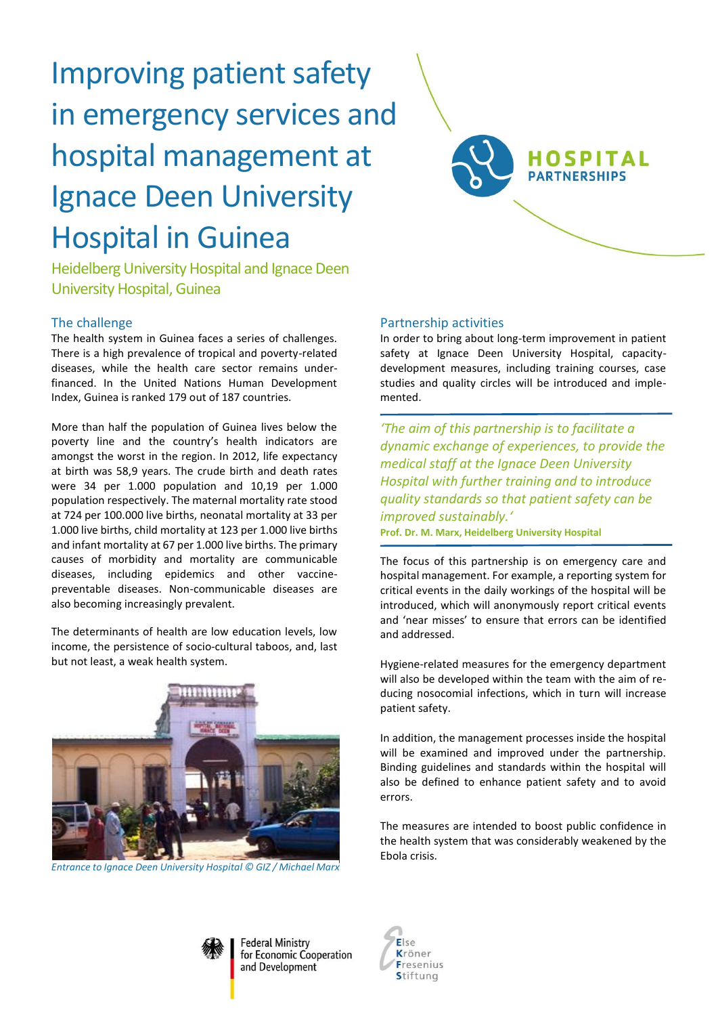# Improving patient safety in emergency services and hospital management at Ignace Deen University Hospital in Guinea

Heidelberg University Hospital and Ignace Deen University Hospital, Guinea

### The challenge

The health system in Guinea faces a series of challenges. There is a high prevalence of tropical and poverty-related diseases, while the health care sector remains underfinanced. In the United Nations Human Development Index, Guinea is ranked 179 out of 187 countries.

More than half the population of Guinea lives below the poverty line and the country's health indicators are amongst the worst in the region. In 2012, life expectancy at birth was 58,9 years. The crude birth and death rates were 34 per 1.000 population and 10,19 per 1.000 population respectively. The maternal mortality rate stood at 724 per 100.000 live births, neonatal mortality at 33 per 1.000 live births, child mortality at 123 per 1.000 live births and infant mortality at 67 per 1.000 live births. The primary causes of morbidity and mortality are communicable diseases, including epidemics and other vaccinepreventable diseases. Non-communicable diseases are also becoming increasingly prevalent.

The determinants of health are low education levels, low income, the persistence of socio-cultural taboos, and, last but not least, a weak health system.



*Entrance to Ignace Deen University Hospital © GIZ / Michael Marx*

#### Partnership activities

In order to bring about long-term improvement in patient safety at Ignace Deen University Hospital, capacitydevelopment measures, including training courses, case studies and quality circles will be introduced and implemented.

**HOSPITAL PARTNERSHIPS** 

*'The aim of this partnership is to facilitate a dynamic exchange of experiences, to provide the medical staff at the Ignace Deen University Hospital with further training and to introduce quality standards so that patient safety can be improved sustainably.'* **Prof. Dr. M. Marx, Heidelberg University Hospital** 

The focus of this partnership is on emergency care and hospital management. For example, a reporting system for critical events in the daily workings of the hospital will be introduced, which will anonymously report critical events and 'near misses' to ensure that errors can be identified and addressed.

Hygiene-related measures for the emergency department will also be developed within the team with the aim of reducing nosocomial infections, which in turn will increase patient safety.

In addition, the management processes inside the hospital will be examined and improved under the partnership. Binding guidelines and standards within the hospital will also be defined to enhance patient safety and to avoid errors.

The measures are intended to boost public confidence in the health system that was considerably weakened by the Ebola crisis.



**Federal Ministry** for Economic Cooperation and Development